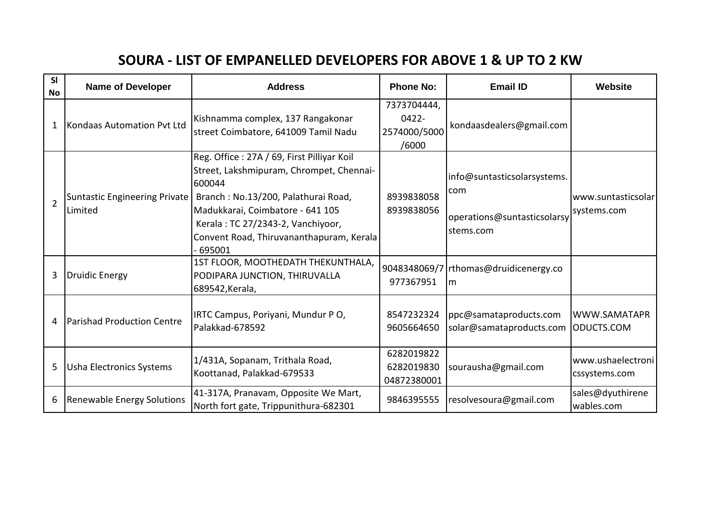## **SOURA - LIST OF EMPANELLED DEVELOPERS FOR ABOVE 1 & UP TO 2 KW**

| SI<br><b>No</b> | <b>Name of Developer</b>                        | <b>Address</b>                                                                                                                                                                                                                                                         | <b>Phone No:</b>                                 | <b>Email ID</b>                                                                | Website                            |
|-----------------|-------------------------------------------------|------------------------------------------------------------------------------------------------------------------------------------------------------------------------------------------------------------------------------------------------------------------------|--------------------------------------------------|--------------------------------------------------------------------------------|------------------------------------|
| 1               | Kondaas Automation Pvt Ltd                      | Kishnamma complex, 137 Rangakonar<br>street Coimbatore, 641009 Tamil Nadu                                                                                                                                                                                              | 7373704444,<br>$0422 -$<br>2574000/5000<br>/6000 | kondaasdealers@gmail.com                                                       |                                    |
| $\overline{2}$  | <b>Suntastic Engineering Private</b><br>Limited | Reg. Office: 27A / 69, First Pilliyar Koil<br>Street, Lakshmipuram, Chrompet, Chennai-<br>600044<br>Branch: No.13/200, Palathurai Road,<br>Madukkarai, Coimbatore - 641 105<br>Kerala: TC 27/2343-2, Vanchiyoor,<br>Convent Road, Thiruvananthapuram, Kerala<br>695001 | 8939838058<br>8939838056                         | info@suntasticsolarsystems.<br>com<br>operations@suntasticsolarsy<br>stems.com | www.suntasticsolar<br>systems.com  |
| 3               | Druidic Energy                                  | 1ST FLOOR, MOOTHEDATH THEKUNTHALA,<br>PODIPARA JUNCTION, THIRUVALLA<br>689542, Kerala,                                                                                                                                                                                 | 977367951                                        | 9048348069/7   rthomas@druidicenergy.co<br>Im                                  |                                    |
| 4               | Parishad Production Centre                      | IRTC Campus, Poriyani, Mundur PO,<br>Palakkad-678592                                                                                                                                                                                                                   | 8547232324<br>9605664650                         | ppc@samataproducts.com<br>solar@samataproducts.com                             | WWW.SAMATAPR<br>ODUCTS.COM         |
| 5               | <b>Usha Electronics Systems</b>                 | 1/431A, Sopanam, Trithala Road,<br>Koottanad, Palakkad-679533                                                                                                                                                                                                          | 6282019822<br>6282019830<br>04872380001          | sourausha@gmail.com                                                            | www.ushaelectroni<br>cssystems.com |
| 6               | <b>Renewable Energy Solutions</b>               | 41-317A, Pranavam, Opposite We Mart,<br>North fort gate, Trippunithura-682301                                                                                                                                                                                          | 9846395555                                       | resolvesoura@gmail.com                                                         | sales@dyuthirene<br>wables.com     |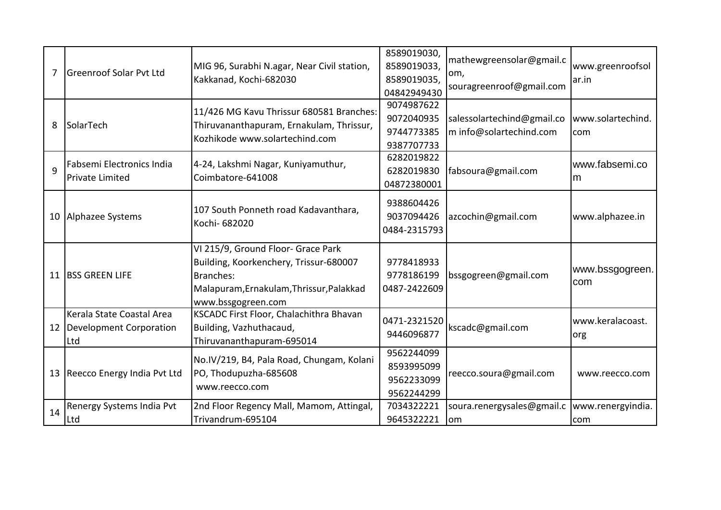| 7  | <b>Greenroof Solar Pvt Ltd</b>                      | MIG 96, Surabhi N.agar, Near Civil station,<br>Kakkanad, Kochi-682030                                                  | 8589019030,  | mathewgreensolar@gmail.c<br>om,<br>souragreenroof@gmail.com |                   |
|----|-----------------------------------------------------|------------------------------------------------------------------------------------------------------------------------|--------------|-------------------------------------------------------------|-------------------|
|    |                                                     |                                                                                                                        | 8589019033,  |                                                             | www.greenroofsol  |
|    |                                                     |                                                                                                                        | 8589019035,  |                                                             | ar.in             |
|    |                                                     |                                                                                                                        | 04842949430  |                                                             |                   |
| 8  | SolarTech                                           | 11/426 MG Kavu Thrissur 680581 Branches:<br>Thiruvananthapuram, Ernakulam, Thrissur,<br>Kozhikode www.solartechind.com | 9074987622   | salessolartechind@gmail.co<br>m info@solartechind.com       |                   |
|    |                                                     |                                                                                                                        | 9072040935   |                                                             | www.solartechind. |
|    |                                                     |                                                                                                                        | 9744773385   |                                                             | com               |
|    |                                                     |                                                                                                                        | 9387707733   |                                                             |                   |
| 9  | Fabsemi Electronics India<br><b>Private Limited</b> | 4-24, Lakshmi Nagar, Kuniyamuthur,<br>Coimbatore-641008                                                                | 6282019822   | fabsoura@gmail.com                                          | www.fabsemi.co    |
|    |                                                     |                                                                                                                        | 6282019830   |                                                             | m                 |
|    |                                                     |                                                                                                                        | 04872380001  |                                                             |                   |
|    | 10 Alphazee Systems                                 | 107 South Ponneth road Kadavanthara,<br>Kochi- 682020                                                                  | 9388604426   |                                                             |                   |
|    |                                                     |                                                                                                                        | 9037094426   | azcochin@gmail.com                                          | www.alphazee.in   |
|    |                                                     |                                                                                                                        | 0484-2315793 |                                                             |                   |
|    |                                                     |                                                                                                                        |              |                                                             |                   |
|    | 11 BSS GREEN LIFE                                   | VI 215/9, Ground Floor- Grace Park                                                                                     |              | bssgogreen@gmail.com                                        |                   |
|    |                                                     | Building, Koorkenchery, Trissur-680007                                                                                 | 9778418933   |                                                             | www.bssgogreen.   |
|    |                                                     | Branches:                                                                                                              | 9778186199   |                                                             | com               |
|    |                                                     | Malapuram, Ernakulam, Thrissur, Palakkad                                                                               | 0487-2422609 |                                                             |                   |
|    |                                                     | www.bssgogreen.com                                                                                                     |              |                                                             |                   |
|    | Kerala State Coastal Area                           | KSCADC First Floor, Chalachithra Bhavan                                                                                | 0471-2321520 | kscadc@gmail.com                                            | www.keralacoast.  |
|    | 12   Development Corporation                        | Building, Vazhuthacaud,                                                                                                | 9446096877   |                                                             | org               |
|    | Ltd                                                 | Thiruvananthapuram-695014                                                                                              |              |                                                             |                   |
|    | 13 Reecco Energy India Pvt Ltd                      | No.IV/219, B4, Pala Road, Chungam, Kolani<br>PO, Thodupuzha-685608                                                     | 9562244099   | reecco.soura@gmail.com                                      |                   |
|    |                                                     |                                                                                                                        | 8593995099   |                                                             | www.reecco.com    |
|    |                                                     | www.reecco.com                                                                                                         | 9562233099   |                                                             |                   |
|    |                                                     |                                                                                                                        | 9562244299   |                                                             |                   |
| 14 | Renergy Systems India Pvt                           | 2nd Floor Regency Mall, Mamom, Attingal,                                                                               | 7034322221   | soura.renergysales@gmail.c                                  | www.renergyindia. |
|    | Ltd                                                 | Trivandrum-695104                                                                                                      | 9645322221   | lom                                                         | com               |